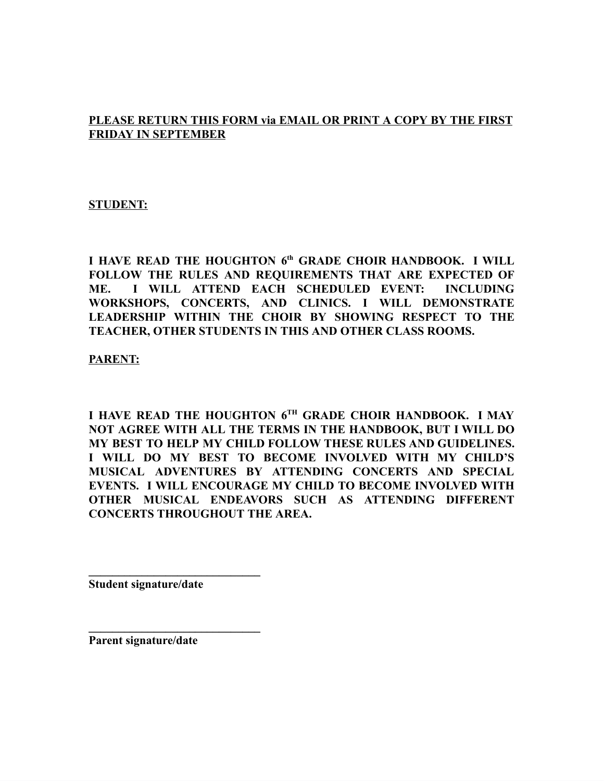### **PLEASE RETURN THIS FORM via EMAIL OR PRINT A COPY BY THE FIRST FRIDAY IN SEPTEMBER**

#### **STUDENT:**

**I HAVE READ THE HOUGHTON 6 th GRADE CHOIR HANDBOOK. I WILL FOLLOW THE RULES AND REQUIREMENTS THAT ARE EXPECTED OF ME. I WILL ATTEND EACH SCHEDULED EVENT: INCLUDING WORKSHOPS, CONCERTS, AND CLINICS. I WILL DEMONSTRATE LEADERSHIP WITHIN THE CHOIR BY SHOWING RESPECT TO THE TEACHER, OTHER STUDENTS IN THIS AND OTHER CLASS ROOMS.**

**PARENT:**

**I HAVE READ THE HOUGHTON 6 TH GRADE CHOIR HANDBOOK. I MAY NOT AGREE WITH ALL THE TERMS IN THE HANDBOOK, BUT I WILL DO MY BEST TO HELP MY CHILD FOLLOW THESE RULES AND GUIDELINES. I WILL DO MY BEST TO BECOME INVOLVED WITH MY CHILD'S MUSICAL ADVENTURES BY ATTENDING CONCERTS AND SPECIAL EVENTS. I WILL ENCOURAGE MY CHILD TO BECOME INVOLVED WITH OTHER MUSICAL ENDEAVORS SUCH AS ATTENDING DIFFERENT CONCERTS THROUGHOUT THE AREA.**

**Student signature/date**

**\_\_\_\_\_\_\_\_\_\_\_\_\_\_\_\_\_\_\_\_\_\_\_\_\_\_\_\_\_**

**\_\_\_\_\_\_\_\_\_\_\_\_\_\_\_\_\_\_\_\_\_\_\_\_\_\_\_\_\_**

**Parent signature/date**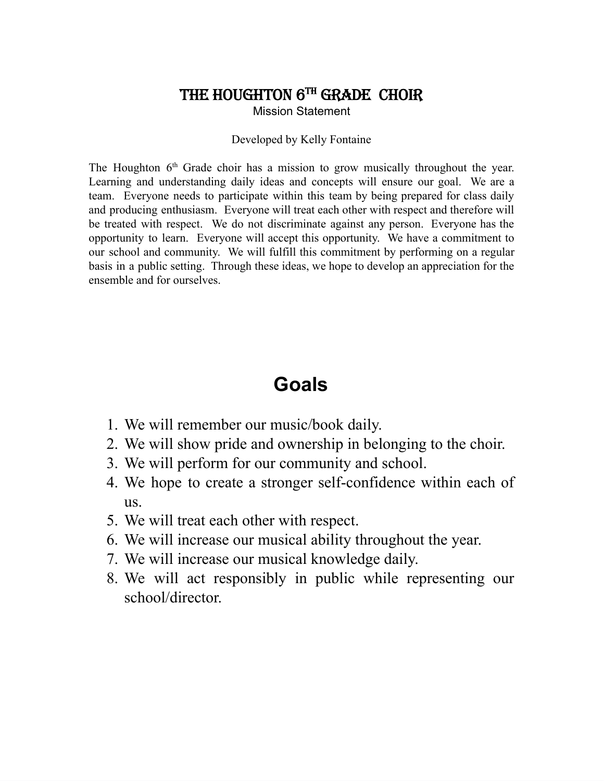### THE HOUGHTON 6TH GRADE CHOIR

Mission Statement

#### Developed by Kelly Fontaine

The Houghton  $6<sup>th</sup>$  Grade choir has a mission to grow musically throughout the year. Learning and understanding daily ideas and concepts will ensure our goal. We are a team. Everyone needs to participate within this team by being prepared for class daily and producing enthusiasm. Everyone will treat each other with respect and therefore will be treated with respect. We do not discriminate against any person. Everyone has the opportunity to learn. Everyone will accept this opportunity. We have a commitment to our school and community. We will fulfill this commitment by performing on a regular basis in a public setting. Through these ideas, we hope to develop an appreciation for the ensemble and for ourselves.

## **Goals**

- 1. We will remember our music/book daily.
- 2. We will show pride and ownership in belonging to the choir.
- 3. We will perform for our community and school.
- 4. We hope to create a stronger self-confidence within each of us.
- 5. We will treat each other with respect.
- 6. We will increase our musical ability throughout the year.
- 7. We will increase our musical knowledge daily.
- 8. We will act responsibly in public while representing our school/director.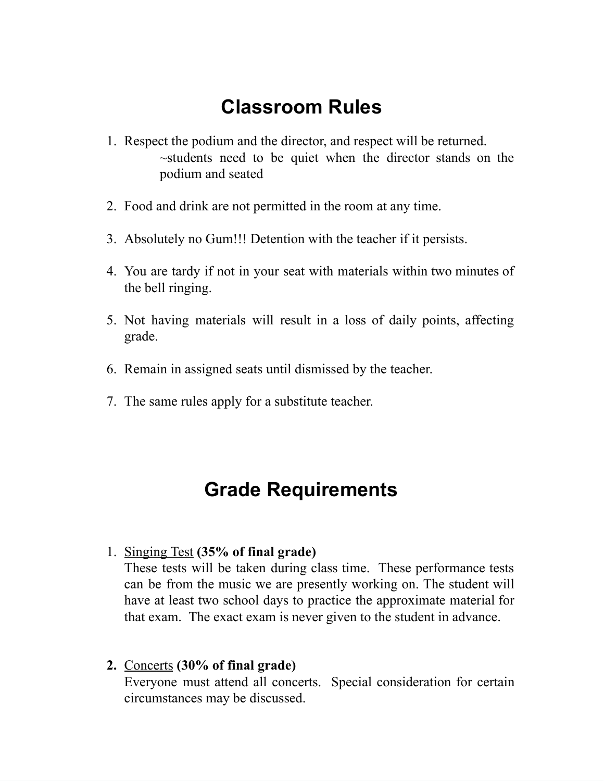# **Classroom Rules**

- 1. Respect the podium and the director, and respect will be returned. ~students need to be quiet when the director stands on the podium and seated
- 2. Food and drink are not permitted in the room at any time.
- 3. Absolutely no Gum!!! Detention with the teacher if it persists.
- 4. You are tardy if not in your seat with materials within two minutes of the bell ringing.
- 5. Not having materials will result in a loss of daily points, affecting grade.
- 6. Remain in assigned seats until dismissed by the teacher.
- 7. The same rules apply for a substitute teacher.

# **Grade Requirements**

### 1. Singing Test **(35% of final grade)**

These tests will be taken during class time. These performance tests can be from the music we are presently working on. The student will have at least two school days to practice the approximate material for that exam. The exact exam is never given to the student in advance.

**2.** Concerts **(30% of final grade)** Everyone must attend all concerts. Special consideration for certain circumstances may be discussed.